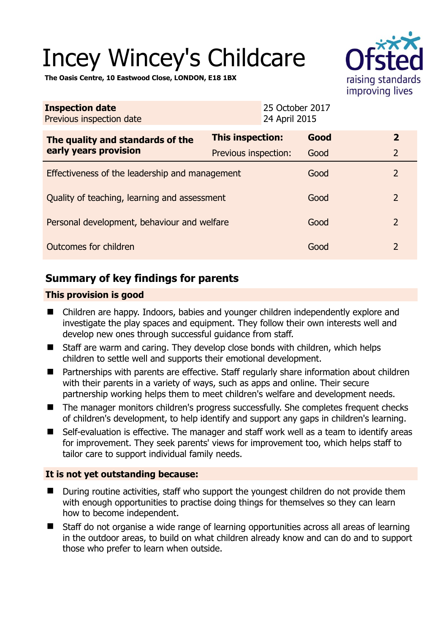# Incey Wincey's Childcare



**The Oasis Centre, 10 Eastwood Close, LONDON, E18 1BX** 

| <b>Inspection date</b><br>Previous inspection date        | 24 April 2015        | 25 October 2017 |                |
|-----------------------------------------------------------|----------------------|-----------------|----------------|
| The quality and standards of the<br>early years provision | This inspection:     | Good            | $\overline{2}$ |
|                                                           | Previous inspection: | Good            | $\overline{2}$ |
| Effectiveness of the leadership and management            |                      | Good            | $\overline{2}$ |
| Quality of teaching, learning and assessment              |                      | Good            | $\overline{2}$ |
| Personal development, behaviour and welfare               |                      | Good            | $\overline{2}$ |
| Outcomes for children                                     |                      | Good            | $\overline{2}$ |

# **Summary of key findings for parents**

## **This provision is good**

- Children are happy. Indoors, babies and younger children independently explore and investigate the play spaces and equipment. They follow their own interests well and develop new ones through successful guidance from staff.
- Staff are warm and caring. They develop close bonds with children, which helps children to settle well and supports their emotional development.
- Partnerships with parents are effective. Staff regularly share information about children with their parents in a variety of ways, such as apps and online. Their secure partnership working helps them to meet children's welfare and development needs.
- The manager monitors children's progress successfully. She completes frequent checks of children's development, to help identify and support any gaps in children's learning.
- Self-evaluation is effective. The manager and staff work well as a team to identify areas for improvement. They seek parents' views for improvement too, which helps staff to tailor care to support individual family needs.

### **It is not yet outstanding because:**

- During routine activities, staff who support the youngest children do not provide them with enough opportunities to practise doing things for themselves so they can learn how to become independent.
- Staff do not organise a wide range of learning opportunities across all areas of learning in the outdoor areas, to build on what children already know and can do and to support those who prefer to learn when outside.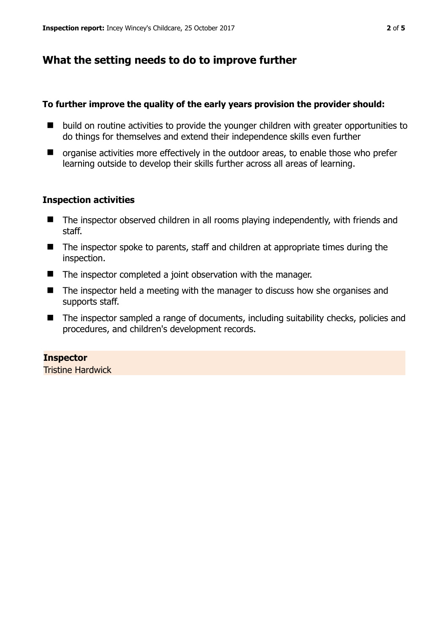# **What the setting needs to do to improve further**

### **To further improve the quality of the early years provision the provider should:**

- $\blacksquare$  build on routine activities to provide the younger children with greater opportunities to do things for themselves and extend their independence skills even further
- organise activities more effectively in the outdoor areas, to enable those who prefer learning outside to develop their skills further across all areas of learning.

## **Inspection activities**

- The inspector observed children in all rooms playing independently, with friends and staff.
- The inspector spoke to parents, staff and children at appropriate times during the inspection.
- The inspector completed a joint observation with the manager.
- The inspector held a meeting with the manager to discuss how she organises and supports staff.
- The inspector sampled a range of documents, including suitability checks, policies and procedures, and children's development records.

## **Inspector**

Tristine Hardwick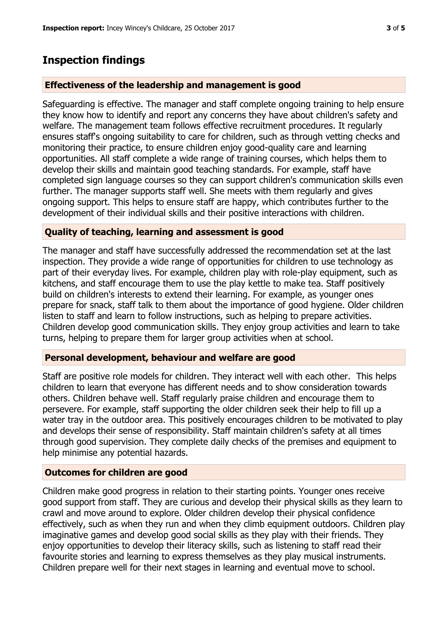## **Inspection findings**

#### **Effectiveness of the leadership and management is good**

Safeguarding is effective. The manager and staff complete ongoing training to help ensure they know how to identify and report any concerns they have about children's safety and welfare. The management team follows effective recruitment procedures. It regularly ensures staff's ongoing suitability to care for children, such as through vetting checks and monitoring their practice, to ensure children enjoy good-quality care and learning opportunities. All staff complete a wide range of training courses, which helps them to develop their skills and maintain good teaching standards. For example, staff have completed sign language courses so they can support children's communication skills even further. The manager supports staff well. She meets with them regularly and gives ongoing support. This helps to ensure staff are happy, which contributes further to the development of their individual skills and their positive interactions with children.

#### **Quality of teaching, learning and assessment is good**

The manager and staff have successfully addressed the recommendation set at the last inspection. They provide a wide range of opportunities for children to use technology as part of their everyday lives. For example, children play with role-play equipment, such as kitchens, and staff encourage them to use the play kettle to make tea. Staff positively build on children's interests to extend their learning. For example, as younger ones prepare for snack, staff talk to them about the importance of good hygiene. Older children listen to staff and learn to follow instructions, such as helping to prepare activities. Children develop good communication skills. They enjoy group activities and learn to take turns, helping to prepare them for larger group activities when at school.

#### **Personal development, behaviour and welfare are good**

Staff are positive role models for children. They interact well with each other. This helps children to learn that everyone has different needs and to show consideration towards others. Children behave well. Staff regularly praise children and encourage them to persevere. For example, staff supporting the older children seek their help to fill up a water tray in the outdoor area. This positively encourages children to be motivated to play and develops their sense of responsibility. Staff maintain children's safety at all times through good supervision. They complete daily checks of the premises and equipment to help minimise any potential hazards.

#### **Outcomes for children are good**

Children make good progress in relation to their starting points. Younger ones receive good support from staff. They are curious and develop their physical skills as they learn to crawl and move around to explore. Older children develop their physical confidence effectively, such as when they run and when they climb equipment outdoors. Children play imaginative games and develop good social skills as they play with their friends. They enjoy opportunities to develop their literacy skills, such as listening to staff read their favourite stories and learning to express themselves as they play musical instruments. Children prepare well for their next stages in learning and eventual move to school.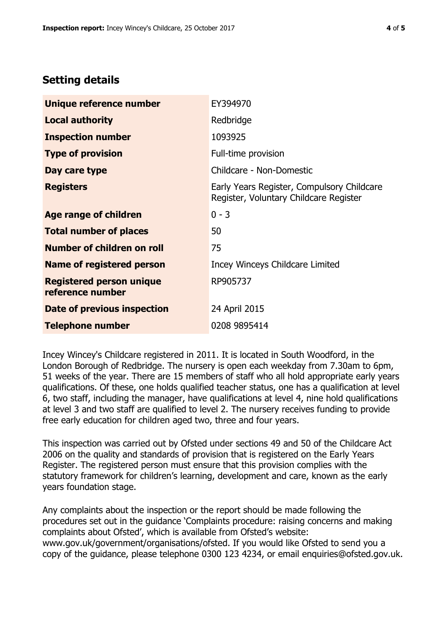# **Setting details**

| Unique reference number                             | EY394970                                                                             |  |
|-----------------------------------------------------|--------------------------------------------------------------------------------------|--|
| <b>Local authority</b>                              | Redbridge                                                                            |  |
| <b>Inspection number</b>                            | 1093925                                                                              |  |
| <b>Type of provision</b>                            | Full-time provision                                                                  |  |
| Day care type                                       | Childcare - Non-Domestic                                                             |  |
| <b>Registers</b>                                    | Early Years Register, Compulsory Childcare<br>Register, Voluntary Childcare Register |  |
| Age range of children                               | $0 - 3$                                                                              |  |
| <b>Total number of places</b>                       | 50                                                                                   |  |
| Number of children on roll                          | 75                                                                                   |  |
| Name of registered person                           | Incey Winceys Childcare Limited                                                      |  |
| <b>Registered person unique</b><br>reference number | RP905737                                                                             |  |
| <b>Date of previous inspection</b>                  | 24 April 2015                                                                        |  |
| <b>Telephone number</b>                             | 0208 9895414                                                                         |  |

Incey Wincey's Childcare registered in 2011. It is located in South Woodford, in the London Borough of Redbridge. The nursery is open each weekday from 7.30am to 6pm, 51 weeks of the year. There are 15 members of staff who all hold appropriate early years qualifications. Of these, one holds qualified teacher status, one has a qualification at level 6, two staff, including the manager, have qualifications at level 4, nine hold qualifications at level 3 and two staff are qualified to level 2. The nursery receives funding to provide free early education for children aged two, three and four years.

This inspection was carried out by Ofsted under sections 49 and 50 of the Childcare Act 2006 on the quality and standards of provision that is registered on the Early Years Register. The registered person must ensure that this provision complies with the statutory framework for children's learning, development and care, known as the early years foundation stage.

Any complaints about the inspection or the report should be made following the procedures set out in the guidance 'Complaints procedure: raising concerns and making complaints about Ofsted', which is available from Ofsted's website: www.gov.uk/government/organisations/ofsted. If you would like Ofsted to send you a copy of the guidance, please telephone 0300 123 4234, or email enquiries@ofsted.gov.uk.